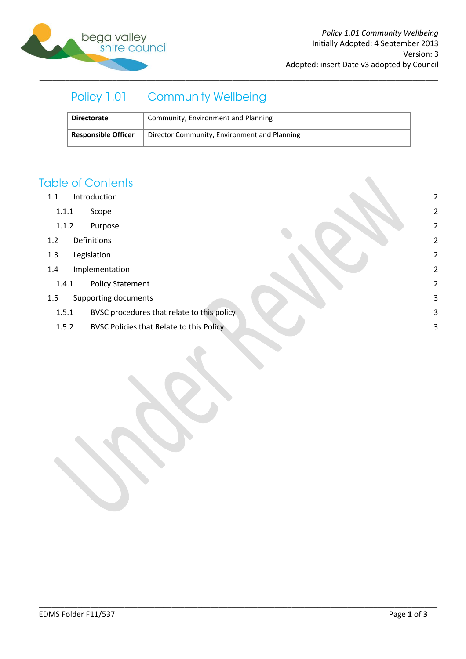

# Policy 1.01 Community Wellbeing

| <b>Directorate</b>         | Community, Environment and Planning          |
|----------------------------|----------------------------------------------|
| <b>Responsible Officer</b> | Director Community, Environment and Planning |

\_\_\_\_\_\_\_\_\_\_\_\_\_\_\_\_\_\_\_\_\_\_\_\_\_\_\_\_\_\_\_\_\_\_\_\_\_\_\_\_\_\_\_\_\_\_\_\_\_\_\_\_\_\_\_\_\_\_\_\_\_\_\_\_\_\_\_\_\_\_\_\_\_\_\_\_\_\_\_\_\_\_\_\_\_\_\_\_\_\_\_\_\_

### **Table of Contents**

- 1.1 [Introduction](#page-1-0) 2
	- 1.1.1 [Scope](#page-1-1) 2
	- 1.1.2 [Purpose](#page-1-2) 2
- 1.2 [Definitions](#page-1-3) 2
- 1.3 [Legislation](#page-1-4) 2
- 1.4 [Implementation](#page-1-5) 2
	- 1.4.1 [Policy Statement](#page-1-6) 2
- 1.5 [Supporting documents](#page-2-0) 3
	- 1.5.1 [BVSC procedures that relate to this policy](#page-2-1) 3
	- 1.5.2 [BVSC Policies that Relate to this Policy](#page-2-2) 3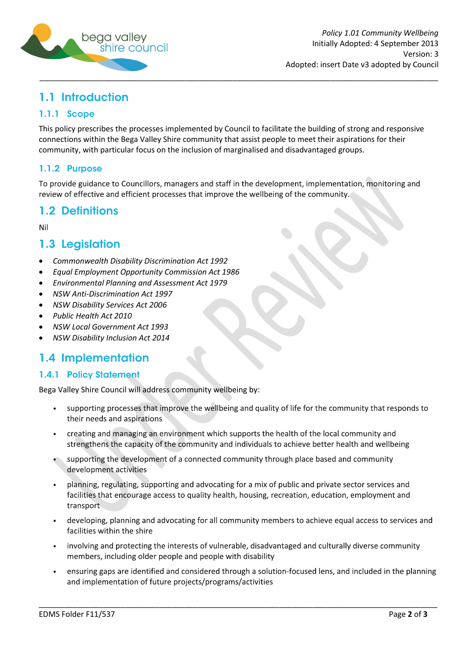

## <span id="page-1-0"></span>1.1 Introduction

#### <span id="page-1-1"></span>1.1.1 Scope

This policy prescribes the processes implemented by Council to facilitate the building of strong and responsive connections within the Bega Valley Shire community that assist people to meet their aspirations for their community, with particular focus on the inclusion of marginalised and disadvantaged groups.

#### <span id="page-1-2"></span>1.1.2 Purpose

To provide guidance to Councillors, managers and staff in the development, implementation, monitoring and review of effective and efficient processes that improve the wellbeing of the community.

### <span id="page-1-3"></span>1.2 Definitions

Nil

### <span id="page-1-4"></span>1.3 Legislation

- *Commonwealth Disability Discrimination Act 1992*
- *Equal Employment Opportunity Commission Act 1986*
- *Environmental Planning and Assessment Act 1979*
- *NSW Anti-Discrimination Act 1997*
- *NSW Disability Services Act 2006*
- *Public Health Act 2010*
- *NSW Local Government Act 1993*
- *NSW Disability Inclusion Act 2014*

### <span id="page-1-5"></span>1.4 Implementation

#### <span id="page-1-6"></span>**1.4.1 Policy Statement**

Bega Valley Shire Council will address community wellbeing by:

- supporting processes that improve the wellbeing and quality of life for the community that responds to  $\bullet$ their needs and aspirations
- creating and managing an environment which supports the health of the local community and strengthens the capacity of the community and individuals to achieve better health and wellbeing
- supporting the development of a connected community through place based and community development activities
- planning, regulating, supporting and advocating for a mix of public and private sector services and facilities that encourage access to quality health, housing, recreation, education, employment and transport
- developing, planning and advocating for all community members to achieve equal access to services and facilities within the shire
- involving and protecting the interests of vulnerable, disadvantaged and culturally diverse community  $\bullet$ members, including older people and people with disability

\_\_\_\_\_\_\_\_\_\_\_\_\_\_\_\_\_\_\_\_\_\_\_\_\_\_\_\_\_\_\_\_\_\_\_\_\_\_\_\_\_\_\_\_\_\_\_\_\_\_\_\_\_\_\_\_\_\_\_\_\_\_\_\_\_\_\_\_\_\_\_\_\_\_\_\_\_\_\_\_\_\_\_\_\_\_\_\_\_\_\_\_\_

ensuring gaps are identified and considered through a solution-focused lens, and included in the planning and implementation of future projects/programs/activities